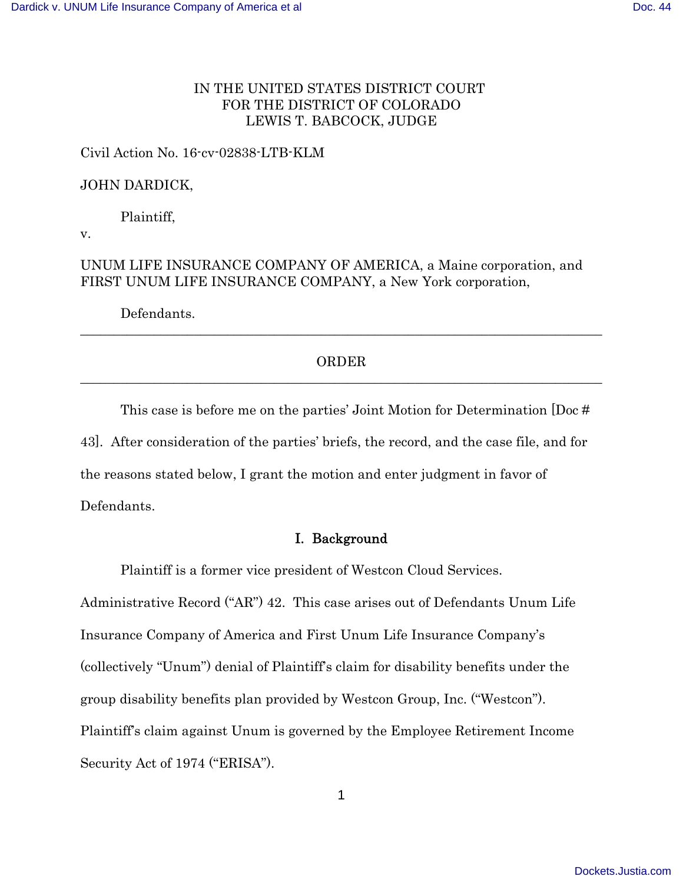# IN THE UNITED STATES DISTRICT COURT FOR THE DISTRICT OF COLORADO LEWIS T. BABCOCK, JUDGE

## Civil Action No. 16-cv-02838-LTB-KLM

# JOHN DARDICK,

Plaintiff,

v.

UNUM LIFE INSURANCE COMPANY OF AMERICA, a Maine corporation, and FIRST UNUM LIFE INSURANCE COMPANY, a New York corporation,

Defendants.

# ORDER \_\_\_\_\_\_\_\_\_\_\_\_\_\_\_\_\_\_\_\_\_\_\_\_\_\_\_\_\_\_\_\_\_\_\_\_\_\_\_\_\_\_\_\_\_\_\_\_\_\_\_\_\_\_\_\_\_\_\_\_\_\_\_\_\_\_\_\_\_\_\_\_\_\_\_\_\_\_

\_\_\_\_\_\_\_\_\_\_\_\_\_\_\_\_\_\_\_\_\_\_\_\_\_\_\_\_\_\_\_\_\_\_\_\_\_\_\_\_\_\_\_\_\_\_\_\_\_\_\_\_\_\_\_\_\_\_\_\_\_\_\_\_\_\_\_\_\_\_\_\_\_\_\_\_\_\_

This case is before me on the parties' Joint Motion for Determination [Doc # 43]. After consideration of the parties' briefs, the record, and the case file, and for the reasons stated below, I grant the motion and enter judgment in favor of Defendants.

### I. Background

Plaintiff is a former vice president of Westcon Cloud Services.

Administrative Record ("AR") 42. This case arises out of Defendants Unum Life Insurance Company of America and First Unum Life Insurance Company's (collectively "Unum") denial of Plaintiff's claim for disability benefits under the group disability benefits plan provided by Westcon Group, Inc. ("Westcon"). Plaintiff's claim against Unum is governed by the Employee Retirement Income Security Act of 1974 ("ERISA").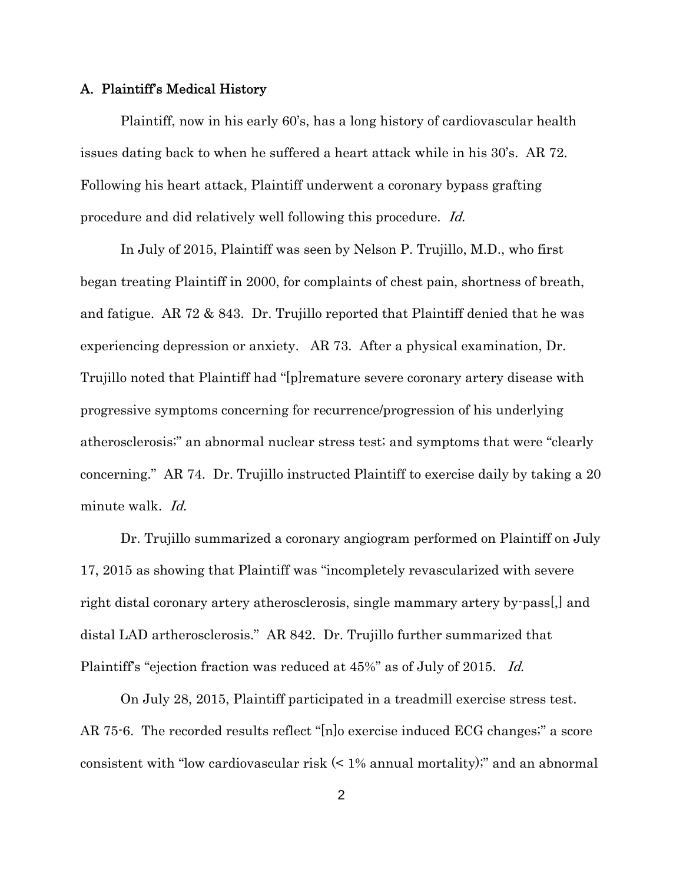#### A. Plaintiff's Medical History

Plaintiff, now in his early 60's, has a long history of cardiovascular health issues dating back to when he suffered a heart attack while in his 30's. AR 72. Following his heart attack, Plaintiff underwent a coronary bypass grafting procedure and did relatively well following this procedure. Id.

In July of 2015, Plaintiff was seen by Nelson P. Trujillo, M.D., who first began treating Plaintiff in 2000, for complaints of chest pain, shortness of breath, and fatigue. AR 72 & 843. Dr. Trujillo reported that Plaintiff denied that he was experiencing depression or anxiety. AR 73. After a physical examination, Dr. Trujillo noted that Plaintiff had "[p]remature severe coronary artery disease with progressive symptoms concerning for recurrence/progression of his underlying atherosclerosis;" an abnormal nuclear stress test; and symptoms that were "clearly concerning." AR 74. Dr. Trujillo instructed Plaintiff to exercise daily by taking a 20 minute walk. Id.

Dr. Trujillo summarized a coronary angiogram performed on Plaintiff on July 17, 2015 as showing that Plaintiff was "incompletely revascularized with severe right distal coronary artery atherosclerosis, single mammary artery by-pass[,] and distal LAD artherosclerosis." AR 842. Dr. Trujillo further summarized that Plaintiff's "ejection fraction was reduced at 45%" as of July of 2015. Id.

On July 28, 2015, Plaintiff participated in a treadmill exercise stress test. AR 75-6. The recorded results reflect "[n]o exercise induced ECG changes;" a score consistent with "low cardiovascular risk (< 1% annual mortality);" and an abnormal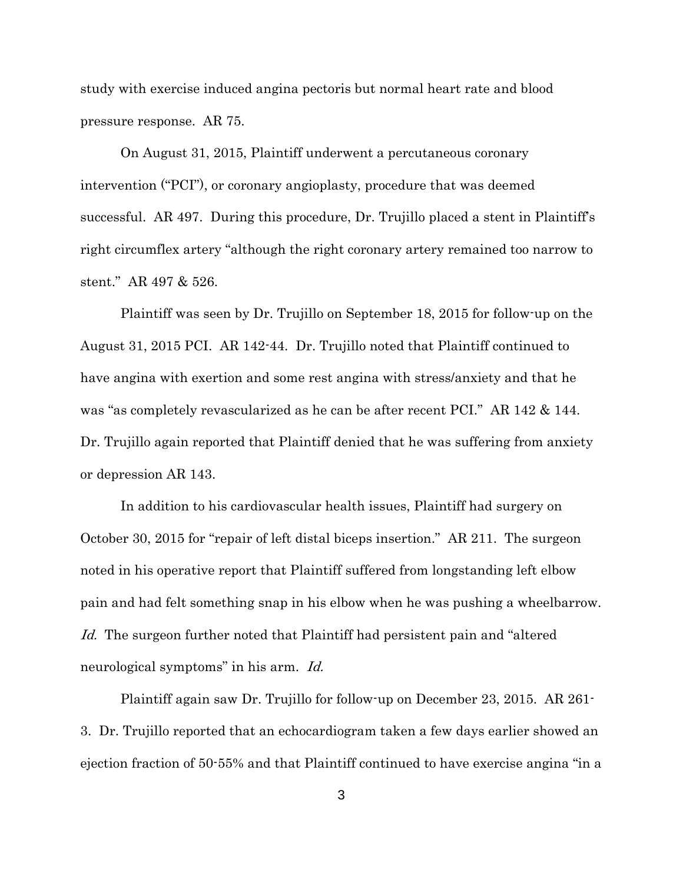study with exercise induced angina pectoris but normal heart rate and blood pressure response. AR 75.

On August 31, 2015, Plaintiff underwent a percutaneous coronary intervention ("PCI"), or coronary angioplasty, procedure that was deemed successful. AR 497. During this procedure, Dr. Trujillo placed a stent in Plaintiff's right circumflex artery "although the right coronary artery remained too narrow to stent." AR 497 & 526.

Plaintiff was seen by Dr. Trujillo on September 18, 2015 for follow-up on the August 31, 2015 PCI. AR 142-44. Dr. Trujillo noted that Plaintiff continued to have angina with exertion and some rest angina with stress/anxiety and that he was "as completely revascularized as he can be after recent PCI." AR 142 & 144. Dr. Trujillo again reported that Plaintiff denied that he was suffering from anxiety or depression AR 143.

In addition to his cardiovascular health issues, Plaintiff had surgery on October 30, 2015 for "repair of left distal biceps insertion." AR 211. The surgeon noted in his operative report that Plaintiff suffered from longstanding left elbow pain and had felt something snap in his elbow when he was pushing a wheelbarrow. Id. The surgeon further noted that Plaintiff had persistent pain and "altered" neurological symptoms" in his arm. Id.

Plaintiff again saw Dr. Trujillo for follow-up on December 23, 2015. AR 261- 3. Dr. Trujillo reported that an echocardiogram taken a few days earlier showed an ejection fraction of 50-55% and that Plaintiff continued to have exercise angina "in a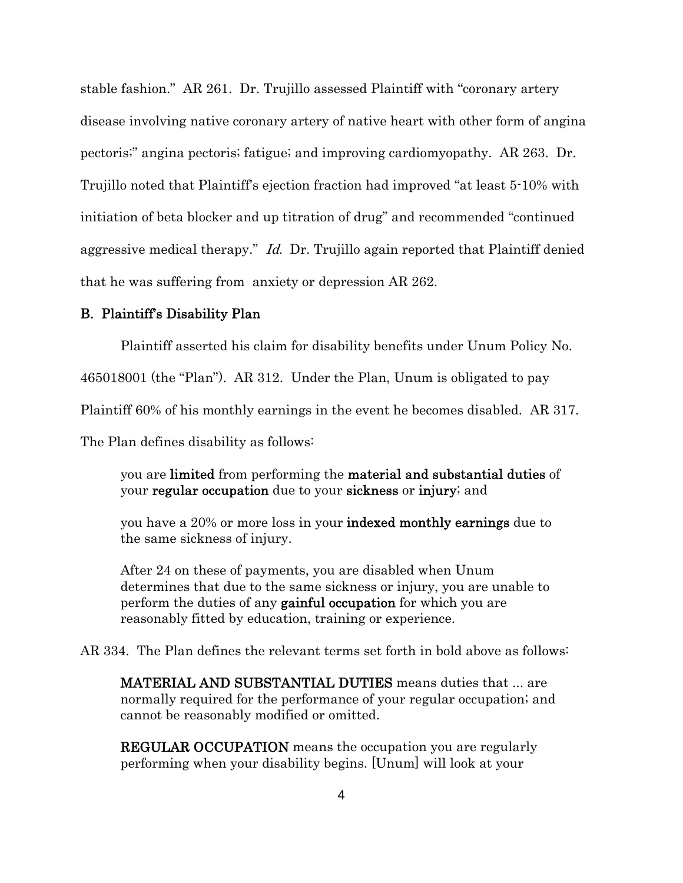stable fashion." AR 261. Dr. Trujillo assessed Plaintiff with "coronary artery disease involving native coronary artery of native heart with other form of angina pectoris;" angina pectoris; fatigue; and improving cardiomyopathy. AR 263. Dr. Trujillo noted that Plaintiff's ejection fraction had improved "at least 5-10% with initiation of beta blocker and up titration of drug" and recommended "continued aggressive medical therapy." Id. Dr. Trujillo again reported that Plaintiff denied that he was suffering from anxiety or depression AR 262.

### B. Plaintiff's Disability Plan

Plaintiff asserted his claim for disability benefits under Unum Policy No.

465018001 (the "Plan"). AR 312. Under the Plan, Unum is obligated to pay

Plaintiff 60% of his monthly earnings in the event he becomes disabled. AR 317.

The Plan defines disability as follows:

you are limited from performing the material and substantial duties of your regular occupation due to your sickness or injury; and

you have a 20% or more loss in your indexed monthly earnings due to the same sickness of injury.

After 24 on these of payments, you are disabled when Unum determines that due to the same sickness or injury, you are unable to perform the duties of any **gainful occupation** for which you are reasonably fitted by education, training or experience.

AR 334. The Plan defines the relevant terms set forth in bold above as follows:

MATERIAL AND SUBSTANTIAL DUTIES means duties that ... are normally required for the performance of your regular occupation; and cannot be reasonably modified or omitted.

**REGULAR OCCUPATION** means the occupation you are regularly performing when your disability begins. [Unum] will look at your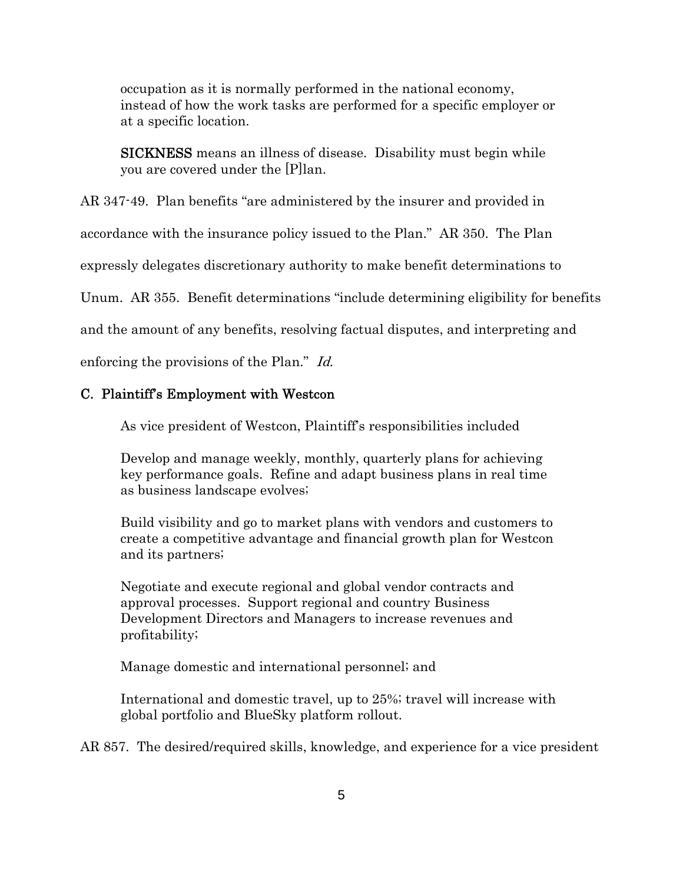occupation as it is normally performed in the national economy, instead of how the work tasks are performed for a specific employer or at a specific location.

SICKNESS means an illness of disease. Disability must begin while you are covered under the [P]lan.

### AR 347-49. Plan benefits "are administered by the insurer and provided in

accordance with the insurance policy issued to the Plan." AR 350. The Plan

expressly delegates discretionary authority to make benefit determinations to

Unum. AR 355. Benefit determinations "include determining eligibility for benefits

and the amount of any benefits, resolving factual disputes, and interpreting and

enforcing the provisions of the Plan." Id.

#### C. Plaintiff's Employment with Westcon

As vice president of Westcon, Plaintiff's responsibilities included

Develop and manage weekly, monthly, quarterly plans for achieving key performance goals. Refine and adapt business plans in real time as business landscape evolves;

Build visibility and go to market plans with vendors and customers to create a competitive advantage and financial growth plan for Westcon and its partners;

Negotiate and execute regional and global vendor contracts and approval processes. Support regional and country Business Development Directors and Managers to increase revenues and profitability;

Manage domestic and international personnel; and

International and domestic travel, up to 25%; travel will increase with global portfolio and BlueSky platform rollout.

AR 857. The desired/required skills, knowledge, and experience for a vice president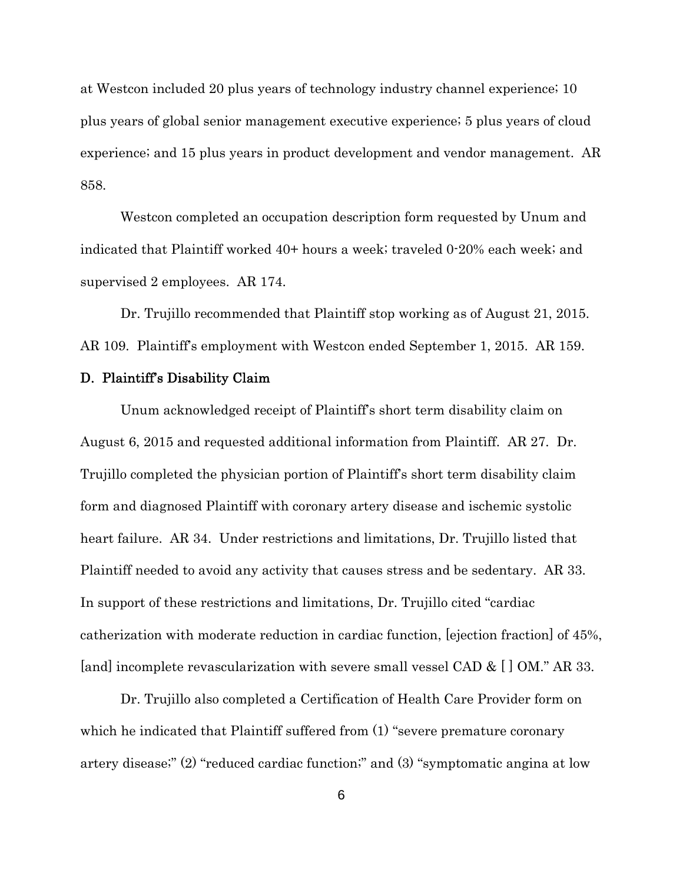at Westcon included 20 plus years of technology industry channel experience; 10 plus years of global senior management executive experience; 5 plus years of cloud experience; and 15 plus years in product development and vendor management. AR 858.

Westcon completed an occupation description form requested by Unum and indicated that Plaintiff worked 40+ hours a week; traveled 0-20% each week; and supervised 2 employees. AR 174.

Dr. Trujillo recommended that Plaintiff stop working as of August 21, 2015. AR 109. Plaintiff's employment with Westcon ended September 1, 2015. AR 159.

#### D. Plaintiff's Disability Claim

Unum acknowledged receipt of Plaintiff's short term disability claim on August 6, 2015 and requested additional information from Plaintiff. AR 27. Dr. Trujillo completed the physician portion of Plaintiff's short term disability claim form and diagnosed Plaintiff with coronary artery disease and ischemic systolic heart failure. AR 34. Under restrictions and limitations, Dr. Trujillo listed that Plaintiff needed to avoid any activity that causes stress and be sedentary. AR 33. In support of these restrictions and limitations, Dr. Trujillo cited "cardiac catherization with moderate reduction in cardiac function, [ejection fraction] of 45%, [and] incomplete revascularization with severe small vessel CAD & [] OM." AR 33.

Dr. Trujillo also completed a Certification of Health Care Provider form on which he indicated that Plaintiff suffered from  $(1)$  "severe premature coronary artery disease;" (2) "reduced cardiac function;" and (3) "symptomatic angina at low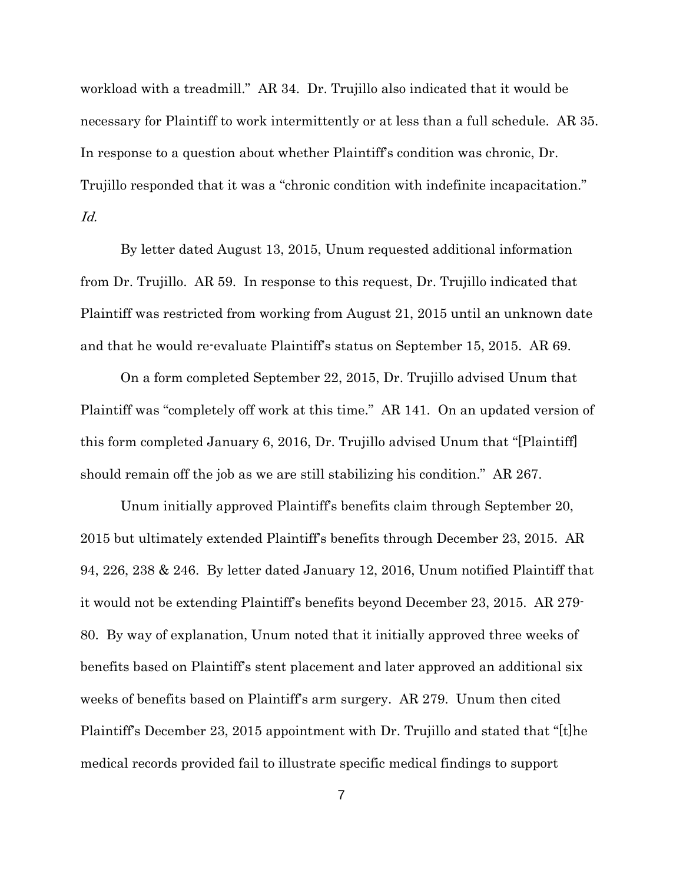workload with a treadmill." AR 34. Dr. Trujillo also indicated that it would be necessary for Plaintiff to work intermittently or at less than a full schedule. AR 35. In response to a question about whether Plaintiff's condition was chronic, Dr. Trujillo responded that it was a "chronic condition with indefinite incapacitation." Id.

By letter dated August 13, 2015, Unum requested additional information from Dr. Trujillo. AR 59. In response to this request, Dr. Trujillo indicated that Plaintiff was restricted from working from August 21, 2015 until an unknown date and that he would re-evaluate Plaintiff's status on September 15, 2015. AR 69.

On a form completed September 22, 2015, Dr. Trujillo advised Unum that Plaintiff was "completely off work at this time." AR 141. On an updated version of this form completed January 6, 2016, Dr. Trujillo advised Unum that "[Plaintiff] should remain off the job as we are still stabilizing his condition." AR 267.

Unum initially approved Plaintiff's benefits claim through September 20, 2015 but ultimately extended Plaintiff's benefits through December 23, 2015. AR 94, 226, 238 & 246. By letter dated January 12, 2016, Unum notified Plaintiff that it would not be extending Plaintiff's benefits beyond December 23, 2015. AR 279- 80. By way of explanation, Unum noted that it initially approved three weeks of benefits based on Plaintiff's stent placement and later approved an additional six weeks of benefits based on Plaintiff's arm surgery. AR 279. Unum then cited Plaintiff's December 23, 2015 appointment with Dr. Trujillo and stated that "[t]he medical records provided fail to illustrate specific medical findings to support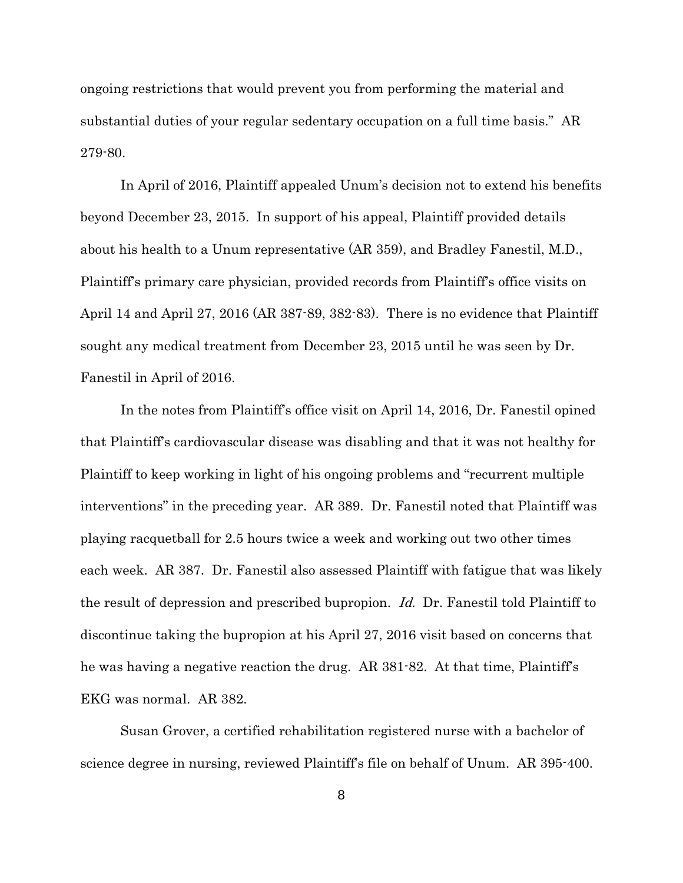ongoing restrictions that would prevent you from performing the material and substantial duties of your regular sedentary occupation on a full time basis." AR 279-80.

In April of 2016, Plaintiff appealed Unum's decision not to extend his benefits beyond December 23, 2015. In support of his appeal, Plaintiff provided details about his health to a Unum representative (AR 359), and Bradley Fanestil, M.D., Plaintiff's primary care physician, provided records from Plaintiff's office visits on April 14 and April 27, 2016 (AR 387-89, 382-83). There is no evidence that Plaintiff sought any medical treatment from December 23, 2015 until he was seen by Dr. Fanestil in April of 2016.

In the notes from Plaintiff's office visit on April 14, 2016, Dr. Fanestil opined that Plaintiff's cardiovascular disease was disabling and that it was not healthy for Plaintiff to keep working in light of his ongoing problems and "recurrent multiple interventions" in the preceding year. AR 389. Dr. Fanestil noted that Plaintiff was playing racquetball for 2.5 hours twice a week and working out two other times each week. AR 387. Dr. Fanestil also assessed Plaintiff with fatigue that was likely the result of depression and prescribed bupropion. Id. Dr. Fanestil told Plaintiff to discontinue taking the bupropion at his April 27, 2016 visit based on concerns that he was having a negative reaction the drug. AR 381-82. At that time, Plaintiff's EKG was normal. AR 382.

Susan Grover, a certified rehabilitation registered nurse with a bachelor of science degree in nursing, reviewed Plaintiff's file on behalf of Unum. AR 395-400.

8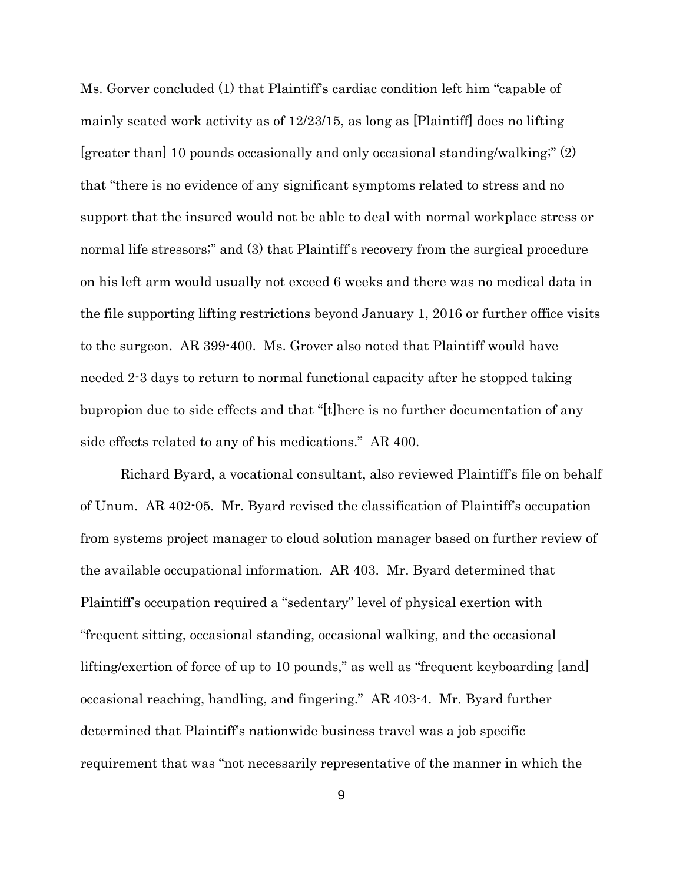Ms. Gorver concluded (1) that Plaintiff's cardiac condition left him "capable of mainly seated work activity as of 12/23/15, as long as [Plaintiff] does no lifting [greater than] 10 pounds occasionally and only occasional standing/walking;" (2) that "there is no evidence of any significant symptoms related to stress and no support that the insured would not be able to deal with normal workplace stress or normal life stressors;" and (3) that Plaintiff's recovery from the surgical procedure on his left arm would usually not exceed 6 weeks and there was no medical data in the file supporting lifting restrictions beyond January 1, 2016 or further office visits to the surgeon. AR 399-400. Ms. Grover also noted that Plaintiff would have needed 2-3 days to return to normal functional capacity after he stopped taking bupropion due to side effects and that "[t]here is no further documentation of any side effects related to any of his medications." AR 400.

Richard Byard, a vocational consultant, also reviewed Plaintiff's file on behalf of Unum. AR 402-05. Mr. Byard revised the classification of Plaintiff's occupation from systems project manager to cloud solution manager based on further review of the available occupational information. AR 403. Mr. Byard determined that Plaintiff's occupation required a "sedentary" level of physical exertion with "frequent sitting, occasional standing, occasional walking, and the occasional lifting/exertion of force of up to 10 pounds," as well as "frequent keyboarding [and] occasional reaching, handling, and fingering." AR 403-4. Mr. Byard further determined that Plaintiff's nationwide business travel was a job specific requirement that was "not necessarily representative of the manner in which the

9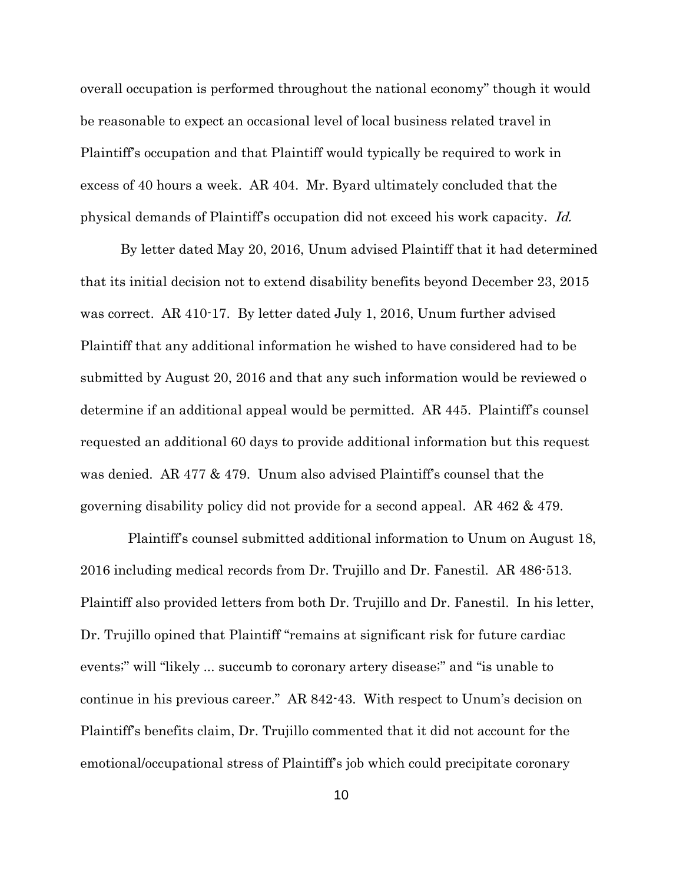overall occupation is performed throughout the national economy" though it would be reasonable to expect an occasional level of local business related travel in Plaintiff's occupation and that Plaintiff would typically be required to work in excess of 40 hours a week. AR 404. Mr. Byard ultimately concluded that the physical demands of Plaintiff's occupation did not exceed his work capacity. Id.

By letter dated May 20, 2016, Unum advised Plaintiff that it had determined that its initial decision not to extend disability benefits beyond December 23, 2015 was correct. AR 410-17. By letter dated July 1, 2016, Unum further advised Plaintiff that any additional information he wished to have considered had to be submitted by August 20, 2016 and that any such information would be reviewed o determine if an additional appeal would be permitted. AR 445. Plaintiff's counsel requested an additional 60 days to provide additional information but this request was denied. AR 477 & 479. Unum also advised Plaintiff's counsel that the governing disability policy did not provide for a second appeal. AR 462 & 479.

 Plaintiff's counsel submitted additional information to Unum on August 18, 2016 including medical records from Dr. Trujillo and Dr. Fanestil. AR 486-513. Plaintiff also provided letters from both Dr. Trujillo and Dr. Fanestil. In his letter, Dr. Trujillo opined that Plaintiff "remains at significant risk for future cardiac events;" will "likely ... succumb to coronary artery disease;" and "is unable to continue in his previous career." AR 842-43. With respect to Unum's decision on Plaintiff's benefits claim, Dr. Trujillo commented that it did not account for the emotional/occupational stress of Plaintiff's job which could precipitate coronary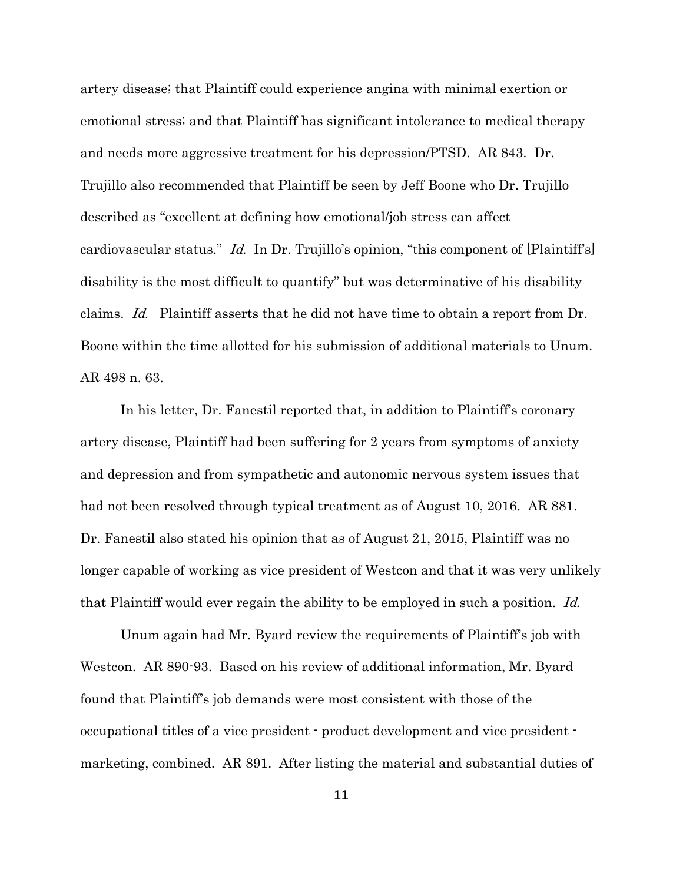artery disease; that Plaintiff could experience angina with minimal exertion or emotional stress; and that Plaintiff has significant intolerance to medical therapy and needs more aggressive treatment for his depression/PTSD. AR 843. Dr. Trujillo also recommended that Plaintiff be seen by Jeff Boone who Dr. Trujillo described as "excellent at defining how emotional/job stress can affect cardiovascular status." *Id.* In Dr. Trujillo's opinion, "this component of [Plaintiff's] disability is the most difficult to quantify" but was determinative of his disability claims. Id. Plaintiff asserts that he did not have time to obtain a report from Dr. Boone within the time allotted for his submission of additional materials to Unum. AR 498 n. 63.

In his letter, Dr. Fanestil reported that, in addition to Plaintiff's coronary artery disease, Plaintiff had been suffering for 2 years from symptoms of anxiety and depression and from sympathetic and autonomic nervous system issues that had not been resolved through typical treatment as of August 10, 2016. AR 881. Dr. Fanestil also stated his opinion that as of August 21, 2015, Plaintiff was no longer capable of working as vice president of Westcon and that it was very unlikely that Plaintiff would ever regain the ability to be employed in such a position. *Id.* 

Unum again had Mr. Byard review the requirements of Plaintiff's job with Westcon. AR 890-93. Based on his review of additional information, Mr. Byard found that Plaintiff's job demands were most consistent with those of the occupational titles of a vice president - product development and vice president marketing, combined. AR 891. After listing the material and substantial duties of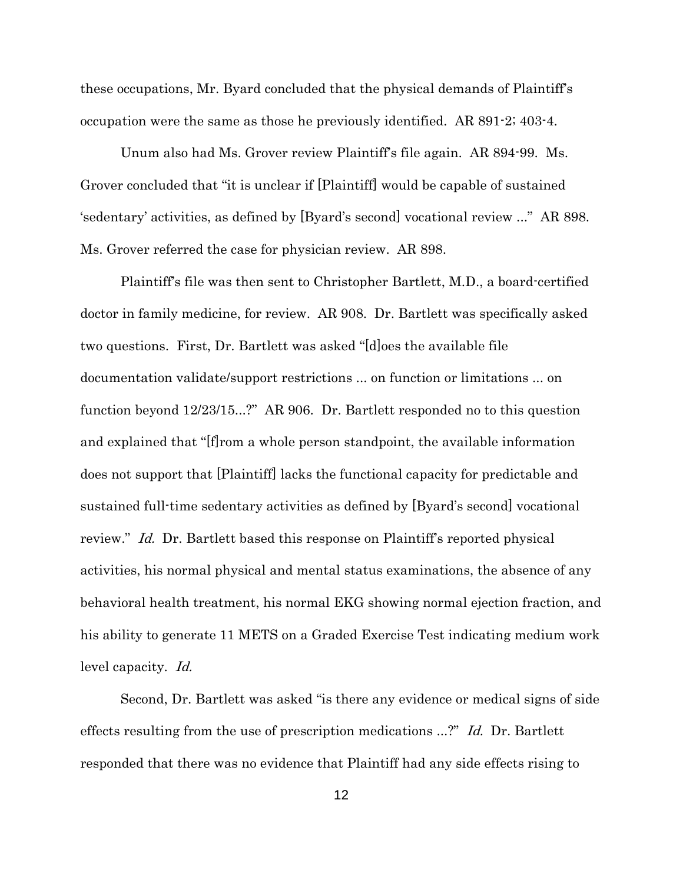these occupations, Mr. Byard concluded that the physical demands of Plaintiff's occupation were the same as those he previously identified. AR 891-2; 403-4.

Unum also had Ms. Grover review Plaintiff's file again. AR 894-99. Ms. Grover concluded that "it is unclear if [Plaintiff] would be capable of sustained 'sedentary' activities, as defined by [Byard's second] vocational review ..." AR 898. Ms. Grover referred the case for physician review. AR 898.

Plaintiff's file was then sent to Christopher Bartlett, M.D., a board-certified doctor in family medicine, for review. AR 908. Dr. Bartlett was specifically asked two questions. First, Dr. Bartlett was asked "[d]oes the available file documentation validate/support restrictions ... on function or limitations ... on function beyond 12/23/15...?" AR 906. Dr. Bartlett responded no to this question and explained that "[f]rom a whole person standpoint, the available information does not support that [Plaintiff] lacks the functional capacity for predictable and sustained full-time sedentary activities as defined by [Byard's second] vocational review." Id. Dr. Bartlett based this response on Plaintiff's reported physical activities, his normal physical and mental status examinations, the absence of any behavioral health treatment, his normal EKG showing normal ejection fraction, and his ability to generate 11 METS on a Graded Exercise Test indicating medium work level capacity. Id.

Second, Dr. Bartlett was asked "is there any evidence or medical signs of side effects resulting from the use of prescription medications ...?" Id. Dr. Bartlett responded that there was no evidence that Plaintiff had any side effects rising to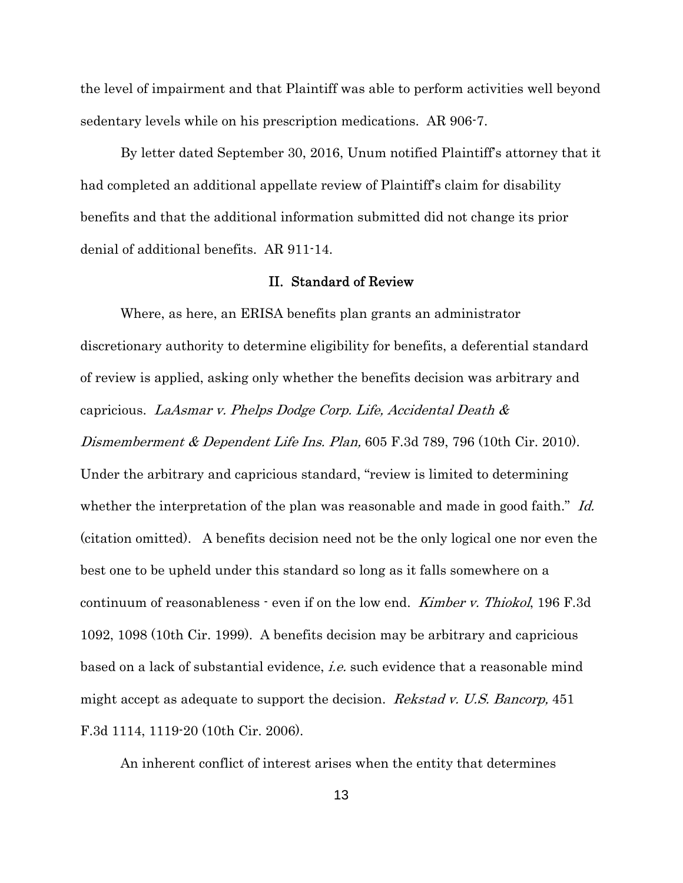the level of impairment and that Plaintiff was able to perform activities well beyond sedentary levels while on his prescription medications. AR 906-7.

By letter dated September 30, 2016, Unum notified Plaintiff's attorney that it had completed an additional appellate review of Plaintiff's claim for disability benefits and that the additional information submitted did not change its prior denial of additional benefits. AR 911-14.

### II. Standard of Review

Where, as here, an ERISA benefits plan grants an administrator discretionary authority to determine eligibility for benefits, a deferential standard of review is applied, asking only whether the benefits decision was arbitrary and capricious. LaAsmar v. Phelps Dodge Corp. Life, Accidental Death & Dismemberment & Dependent Life Ins. Plan, 605 F.3d 789, 796 (10th Cir. 2010). Under the arbitrary and capricious standard, "review is limited to determining whether the interpretation of the plan was reasonable and made in good faith." Id. (citation omitted). A benefits decision need not be the only logical one nor even the best one to be upheld under this standard so long as it falls somewhere on a continuum of reasonableness - even if on the low end. *Kimber v. Thiokol*, 196 F.3d 1092, 1098 (10th Cir. 1999). A benefits decision may be arbitrary and capricious based on a lack of substantial evidence, *i.e.* such evidence that a reasonable mind might accept as adequate to support the decision. *Rekstad v. U.S. Bancorp*, 451 F.3d 1114, 1119-20 (10th Cir. 2006).

An inherent conflict of interest arises when the entity that determines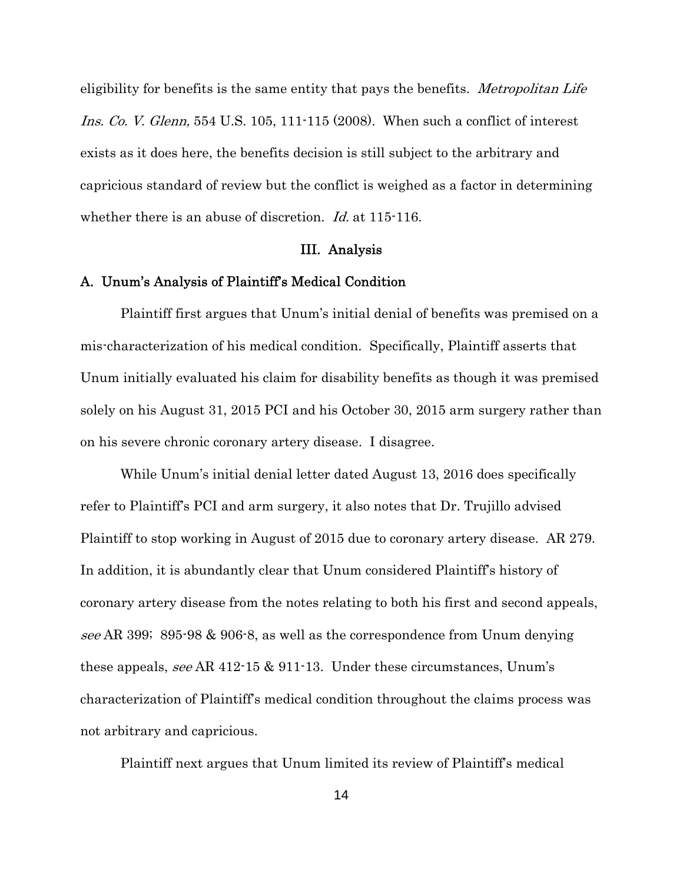eligibility for benefits is the same entity that pays the benefits. *Metropolitan Life* Ins. Co. V. Glenn, 554 U.S. 105, 111-115 (2008). When such a conflict of interest exists as it does here, the benefits decision is still subject to the arbitrary and capricious standard of review but the conflict is weighed as a factor in determining whether there is an abuse of discretion. *Id.* at 115-116.

#### III. Analysis

### A. Unum's Analysis of Plaintiff's Medical Condition

Plaintiff first argues that Unum's initial denial of benefits was premised on a mis-characterization of his medical condition. Specifically, Plaintiff asserts that Unum initially evaluated his claim for disability benefits as though it was premised solely on his August 31, 2015 PCI and his October 30, 2015 arm surgery rather than on his severe chronic coronary artery disease. I disagree.

While Unum's initial denial letter dated August 13, 2016 does specifically refer to Plaintiff's PCI and arm surgery, it also notes that Dr. Trujillo advised Plaintiff to stop working in August of 2015 due to coronary artery disease. AR 279. In addition, it is abundantly clear that Unum considered Plaintiff's history of coronary artery disease from the notes relating to both his first and second appeals, see AR 399; 895-98 & 906-8, as well as the correspondence from Unum denying these appeals, see AR 412-15 & 911-13. Under these circumstances, Unum's characterization of Plaintiff's medical condition throughout the claims process was not arbitrary and capricious.

Plaintiff next argues that Unum limited its review of Plaintiff's medical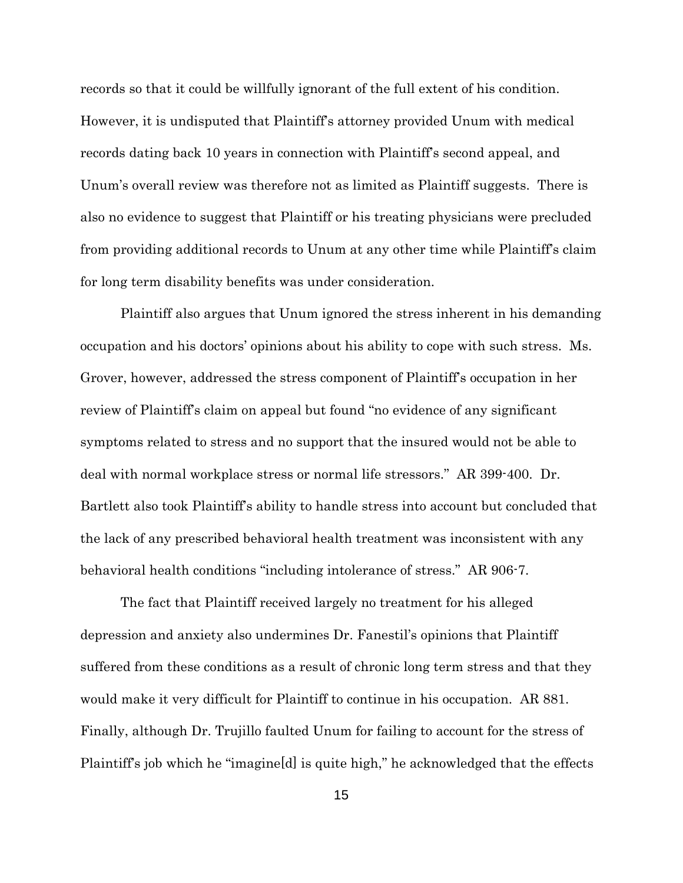records so that it could be willfully ignorant of the full extent of his condition. However, it is undisputed that Plaintiff's attorney provided Unum with medical records dating back 10 years in connection with Plaintiff's second appeal, and Unum's overall review was therefore not as limited as Plaintiff suggests. There is also no evidence to suggest that Plaintiff or his treating physicians were precluded from providing additional records to Unum at any other time while Plaintiff's claim for long term disability benefits was under consideration.

Plaintiff also argues that Unum ignored the stress inherent in his demanding occupation and his doctors' opinions about his ability to cope with such stress. Ms. Grover, however, addressed the stress component of Plaintiff's occupation in her review of Plaintiff's claim on appeal but found "no evidence of any significant symptoms related to stress and no support that the insured would not be able to deal with normal workplace stress or normal life stressors." AR 399-400. Dr. Bartlett also took Plaintiff's ability to handle stress into account but concluded that the lack of any prescribed behavioral health treatment was inconsistent with any behavioral health conditions "including intolerance of stress." AR 906-7.

 The fact that Plaintiff received largely no treatment for his alleged depression and anxiety also undermines Dr. Fanestil's opinions that Plaintiff suffered from these conditions as a result of chronic long term stress and that they would make it very difficult for Plaintiff to continue in his occupation. AR 881. Finally, although Dr. Trujillo faulted Unum for failing to account for the stress of Plaintiff's job which he "imagine[d] is quite high," he acknowledged that the effects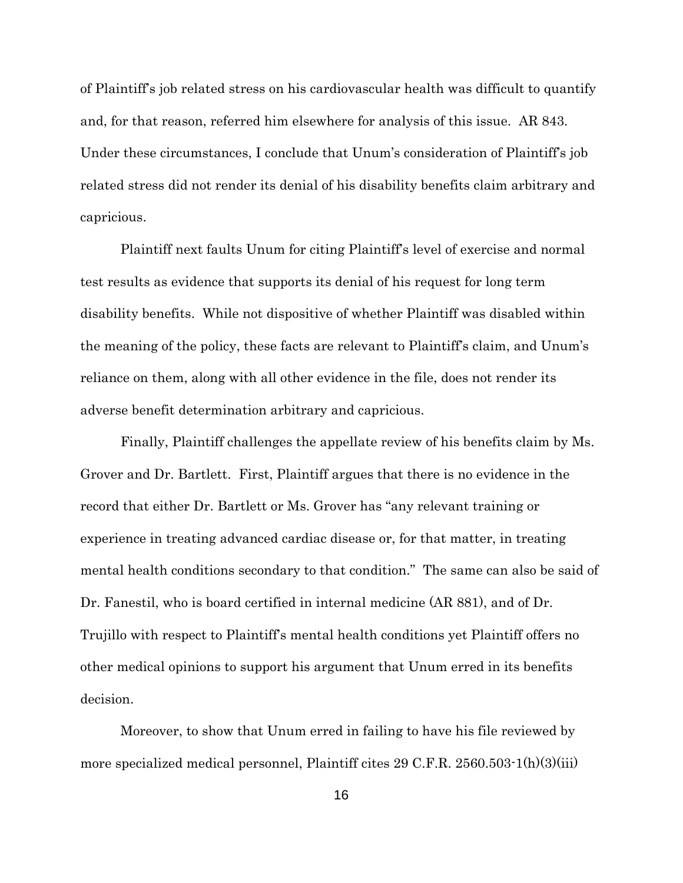of Plaintiff's job related stress on his cardiovascular health was difficult to quantify and, for that reason, referred him elsewhere for analysis of this issue. AR 843. Under these circumstances, I conclude that Unum's consideration of Plaintiff's job related stress did not render its denial of his disability benefits claim arbitrary and capricious.

Plaintiff next faults Unum for citing Plaintiff's level of exercise and normal test results as evidence that supports its denial of his request for long term disability benefits. While not dispositive of whether Plaintiff was disabled within the meaning of the policy, these facts are relevant to Plaintiff's claim, and Unum's reliance on them, along with all other evidence in the file, does not render its adverse benefit determination arbitrary and capricious.

Finally, Plaintiff challenges the appellate review of his benefits claim by Ms. Grover and Dr. Bartlett. First, Plaintiff argues that there is no evidence in the record that either Dr. Bartlett or Ms. Grover has "any relevant training or experience in treating advanced cardiac disease or, for that matter, in treating mental health conditions secondary to that condition." The same can also be said of Dr. Fanestil, who is board certified in internal medicine (AR 881), and of Dr. Trujillo with respect to Plaintiff's mental health conditions yet Plaintiff offers no other medical opinions to support his argument that Unum erred in its benefits decision.

Moreover, to show that Unum erred in failing to have his file reviewed by more specialized medical personnel, Plaintiff cites 29 C.F.R. 2560.503-1(h)(3)(iii)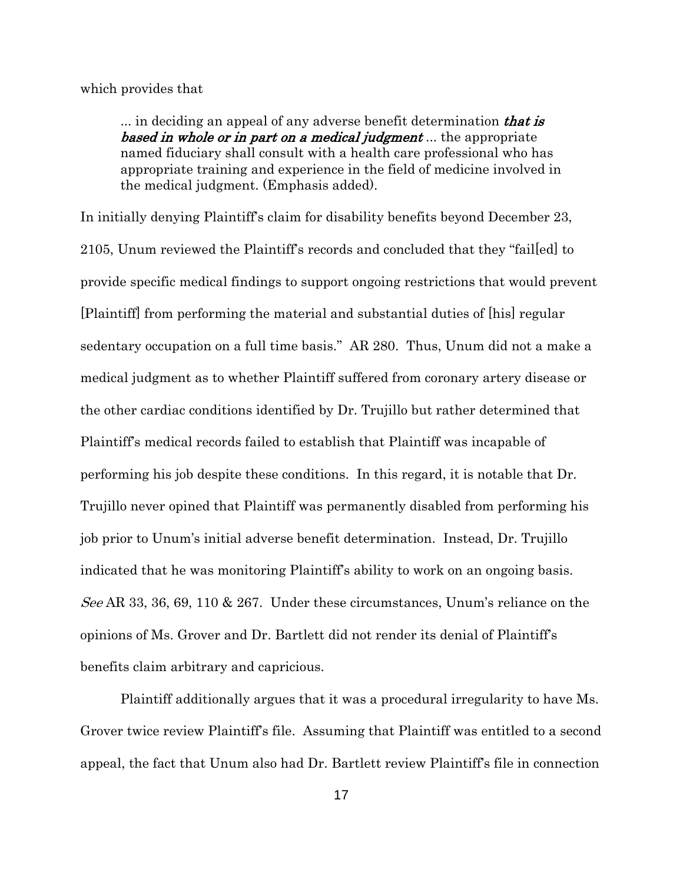which provides that

... in deciding an appeal of any adverse benefit determination **that is based in whole or in part on a medical judgment**... the appropriate named fiduciary shall consult with a health care professional who has appropriate training and experience in the field of medicine involved in the medical judgment. (Emphasis added).

In initially denying Plaintiff's claim for disability benefits beyond December 23, 2105, Unum reviewed the Plaintiff's records and concluded that they "fail[ed] to provide specific medical findings to support ongoing restrictions that would prevent [Plaintiff] from performing the material and substantial duties of [his] regular sedentary occupation on a full time basis." AR 280. Thus, Unum did not a make a medical judgment as to whether Plaintiff suffered from coronary artery disease or the other cardiac conditions identified by Dr. Trujillo but rather determined that Plaintiff's medical records failed to establish that Plaintiff was incapable of performing his job despite these conditions. In this regard, it is notable that Dr. Trujillo never opined that Plaintiff was permanently disabled from performing his job prior to Unum's initial adverse benefit determination. Instead, Dr. Trujillo indicated that he was monitoring Plaintiff's ability to work on an ongoing basis. See AR 33, 36, 69, 110 & 267. Under these circumstances, Unum's reliance on the opinions of Ms. Grover and Dr. Bartlett did not render its denial of Plaintiff's benefits claim arbitrary and capricious.

Plaintiff additionally argues that it was a procedural irregularity to have Ms. Grover twice review Plaintiff's file. Assuming that Plaintiff was entitled to a second appeal, the fact that Unum also had Dr. Bartlett review Plaintiff's file in connection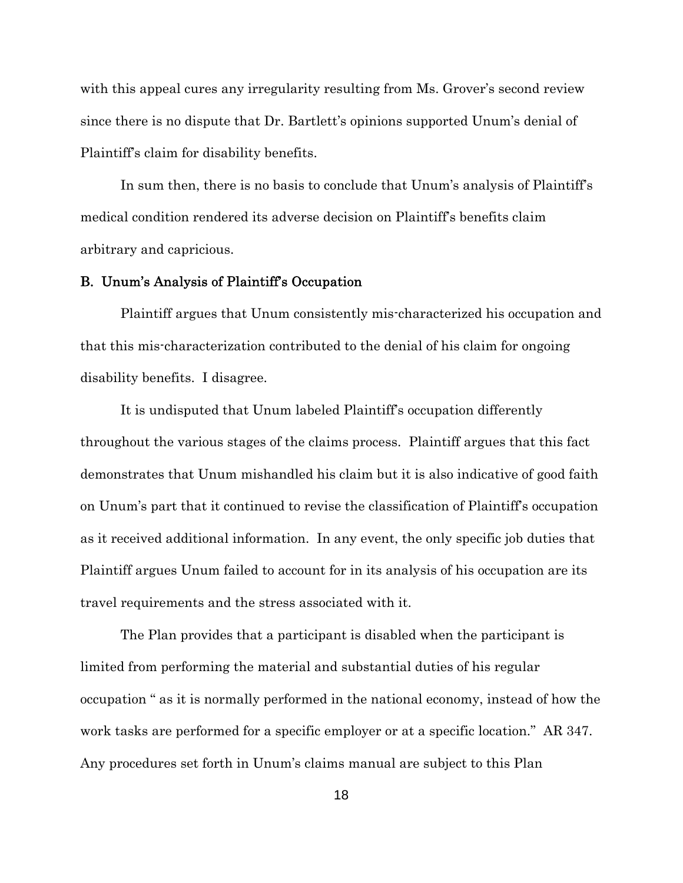with this appeal cures any irregularity resulting from Ms. Grover's second review since there is no dispute that Dr. Bartlett's opinions supported Unum's denial of Plaintiff's claim for disability benefits.

In sum then, there is no basis to conclude that Unum's analysis of Plaintiff's medical condition rendered its adverse decision on Plaintiff's benefits claim arbitrary and capricious.

### B. Unum's Analysis of Plaintiff's Occupation

Plaintiff argues that Unum consistently mis-characterized his occupation and that this mis-characterization contributed to the denial of his claim for ongoing disability benefits. I disagree.

It is undisputed that Unum labeled Plaintiff's occupation differently throughout the various stages of the claims process. Plaintiff argues that this fact demonstrates that Unum mishandled his claim but it is also indicative of good faith on Unum's part that it continued to revise the classification of Plaintiff's occupation as it received additional information. In any event, the only specific job duties that Plaintiff argues Unum failed to account for in its analysis of his occupation are its travel requirements and the stress associated with it.

The Plan provides that a participant is disabled when the participant is limited from performing the material and substantial duties of his regular occupation " as it is normally performed in the national economy, instead of how the work tasks are performed for a specific employer or at a specific location." AR 347. Any procedures set forth in Unum's claims manual are subject to this Plan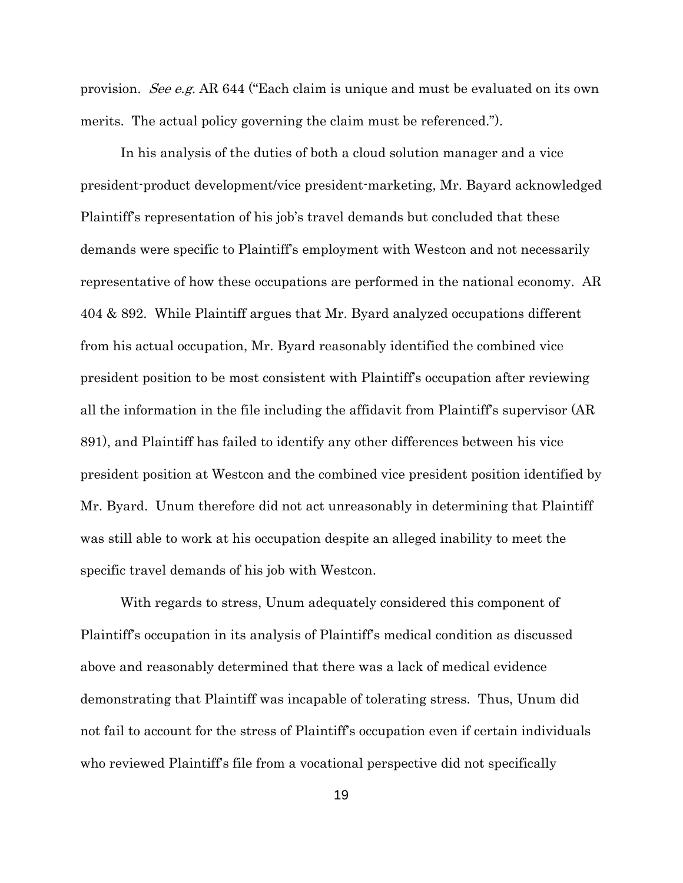provision. See e.g. AR 644 ("Each claim is unique and must be evaluated on its own merits. The actual policy governing the claim must be referenced.").

In his analysis of the duties of both a cloud solution manager and a vice president-product development/vice president-marketing, Mr. Bayard acknowledged Plaintiff's representation of his job's travel demands but concluded that these demands were specific to Plaintiff's employment with Westcon and not necessarily representative of how these occupations are performed in the national economy. AR 404 & 892. While Plaintiff argues that Mr. Byard analyzed occupations different from his actual occupation, Mr. Byard reasonably identified the combined vice president position to be most consistent with Plaintiff's occupation after reviewing all the information in the file including the affidavit from Plaintiff's supervisor (AR 891), and Plaintiff has failed to identify any other differences between his vice president position at Westcon and the combined vice president position identified by Mr. Byard. Unum therefore did not act unreasonably in determining that Plaintiff was still able to work at his occupation despite an alleged inability to meet the specific travel demands of his job with Westcon.

With regards to stress, Unum adequately considered this component of Plaintiff's occupation in its analysis of Plaintiff's medical condition as discussed above and reasonably determined that there was a lack of medical evidence demonstrating that Plaintiff was incapable of tolerating stress. Thus, Unum did not fail to account for the stress of Plaintiff's occupation even if certain individuals who reviewed Plaintiff's file from a vocational perspective did not specifically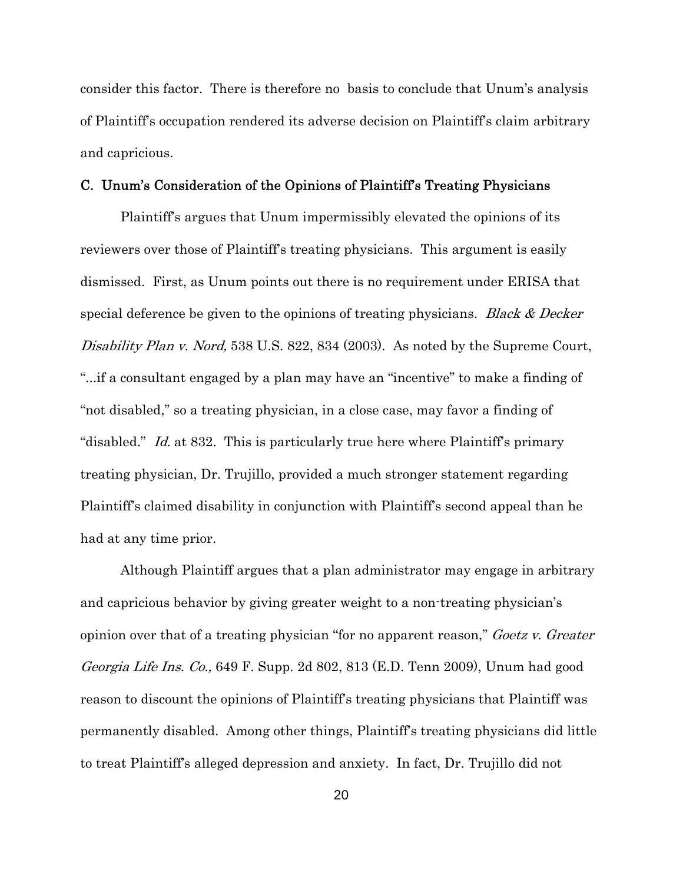consider this factor. There is therefore no basis to conclude that Unum's analysis of Plaintiff's occupation rendered its adverse decision on Plaintiff's claim arbitrary and capricious.

#### C. Unum's Consideration of the Opinions of Plaintiff's Treating Physicians

Plaintiff's argues that Unum impermissibly elevated the opinions of its reviewers over those of Plaintiff's treating physicians. This argument is easily dismissed. First, as Unum points out there is no requirement under ERISA that special deference be given to the opinions of treating physicians. *Black & Decker* Disability Plan v. Nord, 538 U.S. 822, 834 (2003). As noted by the Supreme Court, "...if a consultant engaged by a plan may have an "incentive" to make a finding of "not disabled," so a treating physician, in a close case, may favor a finding of "disabled." *Id.* at 832. This is particularly true here where Plaintiff's primary treating physician, Dr. Trujillo, provided a much stronger statement regarding Plaintiff's claimed disability in conjunction with Plaintiff's second appeal than he had at any time prior.

Although Plaintiff argues that a plan administrator may engage in arbitrary and capricious behavior by giving greater weight to a non-treating physician's opinion over that of a treating physician "for no apparent reason," *Goetz v. Greater* Georgia Life Ins. Co., 649 F. Supp. 2d 802, 813 (E.D. Tenn 2009), Unum had good reason to discount the opinions of Plaintiff's treating physicians that Plaintiff was permanently disabled. Among other things, Plaintiff's treating physicians did little to treat Plaintiff's alleged depression and anxiety. In fact, Dr. Trujillo did not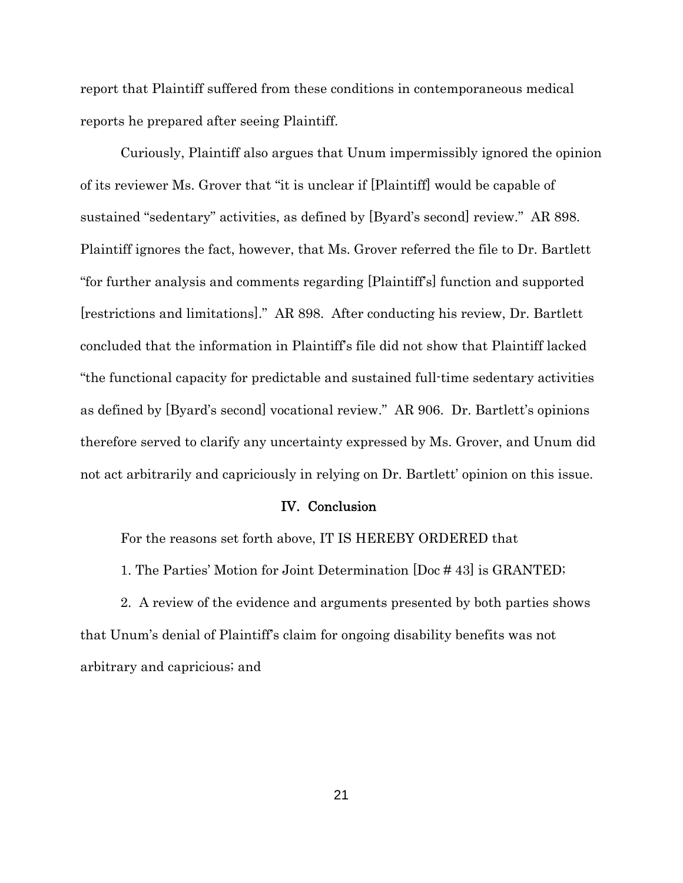report that Plaintiff suffered from these conditions in contemporaneous medical reports he prepared after seeing Plaintiff.

Curiously, Plaintiff also argues that Unum impermissibly ignored the opinion of its reviewer Ms. Grover that "it is unclear if [Plaintiff] would be capable of sustained "sedentary" activities, as defined by [Byard's second] review." AR 898. Plaintiff ignores the fact, however, that Ms. Grover referred the file to Dr. Bartlett "for further analysis and comments regarding [Plaintiff's] function and supported [restrictions and limitations]." AR 898. After conducting his review, Dr. Bartlett concluded that the information in Plaintiff's file did not show that Plaintiff lacked "the functional capacity for predictable and sustained full-time sedentary activities as defined by [Byard's second] vocational review." AR 906. Dr. Bartlett's opinions therefore served to clarify any uncertainty expressed by Ms. Grover, and Unum did not act arbitrarily and capriciously in relying on Dr. Bartlett' opinion on this issue.

#### IV. Conclusion

For the reasons set forth above, IT IS HEREBY ORDERED that

1. The Parties' Motion for Joint Determination [Doc # 43] is GRANTED;

2. A review of the evidence and arguments presented by both parties shows that Unum's denial of Plaintiff's claim for ongoing disability benefits was not arbitrary and capricious; and